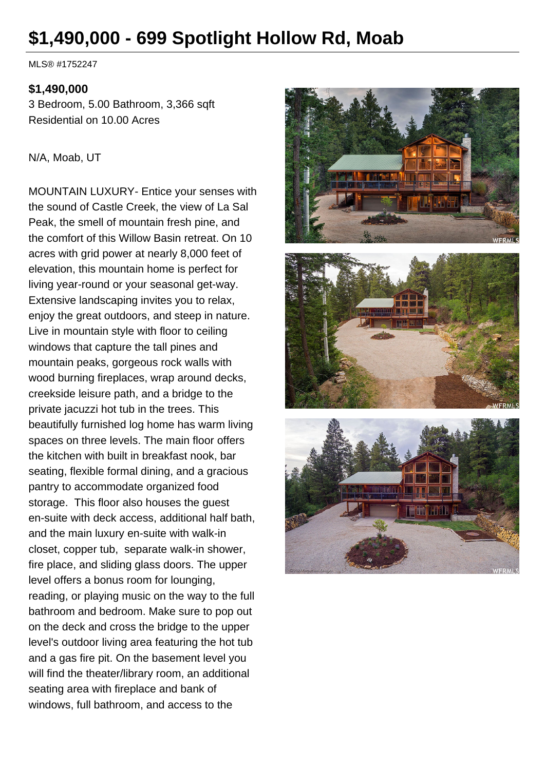# **\$1,490,000 - 699 Spotlight Hollow Rd, Moab**

MLS® #1752247

#### **\$1,490,000**

3 Bedroom, 5.00 Bathroom, 3,366 sqft Residential on 10.00 Acres

#### N/A, Moab, UT

MOUNTAIN LUXURY- Entice your senses with the sound of Castle Creek, the view of La Sal Peak, the smell of mountain fresh pine, and the comfort of this Willow Basin retreat. On 10 acres with grid power at nearly 8,000 feet of elevation, this mountain home is perfect for living year-round or your seasonal get-way. Extensive landscaping invites you to relax, enjoy the great outdoors, and steep in nature. Live in mountain style with floor to ceiling windows that capture the tall pines and mountain peaks, gorgeous rock walls with wood burning fireplaces, wrap around decks, creekside leisure path, and a bridge to the private jacuzzi hot tub in the trees. This beautifully furnished log home has warm living spaces on three levels. The main floor offers the kitchen with built in breakfast nook, bar seating, flexible formal dining, and a gracious pantry to accommodate organized food storage. This floor also houses the guest en-suite with deck access, additional half bath, and the main luxury en-suite with walk-in closet, copper tub, separate walk-in shower, fire place, and sliding glass doors. The upper level offers a bonus room for lounging, reading, or playing music on the way to the full bathroom and bedroom. Make sure to pop out on the deck and cross the bridge to the upper level's outdoor living area featuring the hot tub and a gas fire pit. On the basement level you will find the theater/library room, an additional seating area with fireplace and bank of windows, full bathroom, and access to the





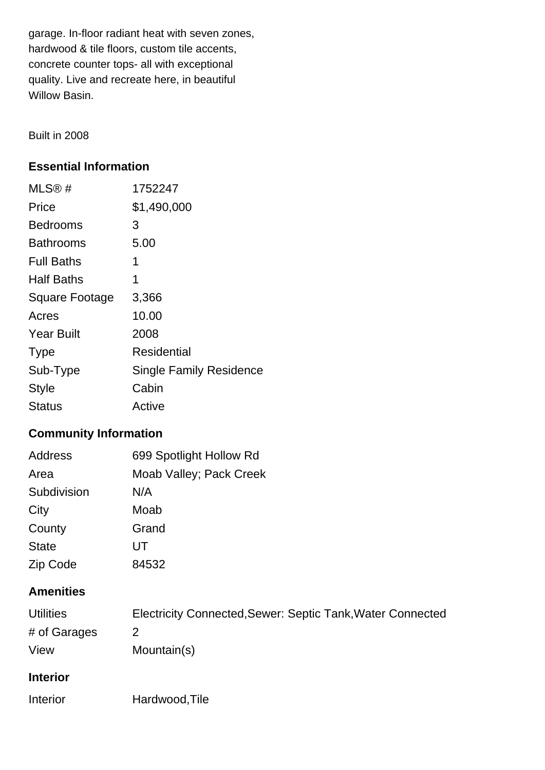garage. In-floor radiant heat with seven zones, hardwood & tile floors, custom tile accents, concrete counter tops- all with exceptional quality. Live and recreate here, in beautiful Willow Basin.

Built in 2008

## **Essential Information**

| MLS@#                 | 1752247                        |
|-----------------------|--------------------------------|
| Price                 | \$1,490,000                    |
| <b>Bedrooms</b>       | 3                              |
| Bathrooms             | 5.00                           |
| <b>Full Baths</b>     | 1                              |
| <b>Half Baths</b>     | 1                              |
| <b>Square Footage</b> | 3,366                          |
| Acres                 | 10.00                          |
| <b>Year Built</b>     | 2008                           |
| <b>Type</b>           | Residential                    |
| Sub-Type              | <b>Single Family Residence</b> |
| <b>Style</b>          | Cabin                          |
| Status                | Active                         |

# **Community Information**

| Address      | 699 Spotlight Hollow Rd |
|--------------|-------------------------|
| Area         | Moab Valley; Pack Creek |
| Subdivision  | N/A                     |
| City         | Moab                    |
| County       | Grand                   |
| <b>State</b> | UT                      |
| Zip Code     | 84532                   |
|              |                         |

## **Amenities**

| <b>Utilities</b> | Electricity Connected, Sewer: Septic Tank, Water Connected |
|------------------|------------------------------------------------------------|
| # of Garages     |                                                            |
| View             | Mountain(s)                                                |

## **Interior**

| Hardwood, Tile |
|----------------|
|                |